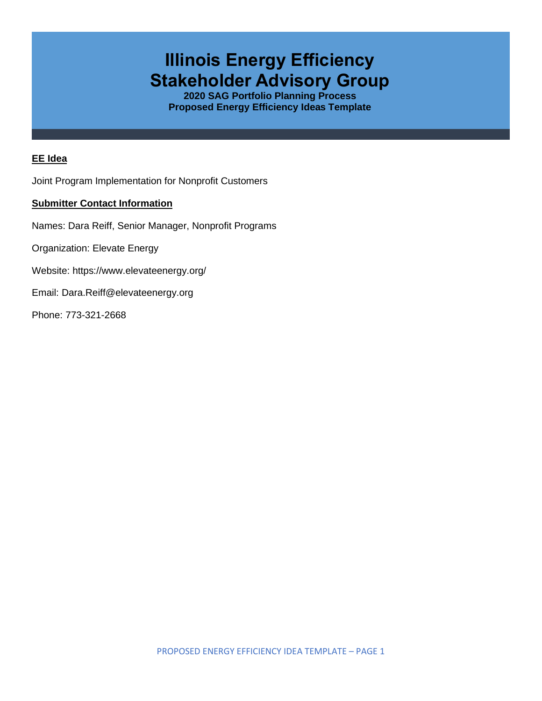# **Illinois Energy Efficiency Stakeholder Advisory Group**

**2020 SAG Portfolio Planning Process Proposed Energy Efficiency Ideas Template**

### **EE Idea**

Joint Program Implementation for Nonprofit Customers

#### **Submitter Contact Information**

Names: Dara Reiff, Senior Manager, Nonprofit Programs

Organization: Elevate Energy

Website: <https://www.elevateenergy.org/>

Email: Dara.Reiff@elevateenergy.org

Phone: 773-321-2668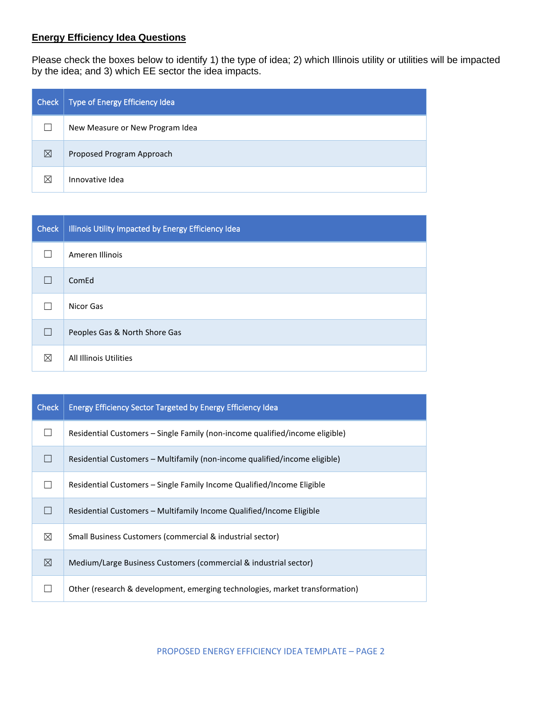## **Energy Efficiency Idea Questions**

Please check the boxes below to identify 1) the type of idea; 2) which Illinois utility or utilities will be impacted by the idea; and 3) which EE sector the idea impacts.

| Check | Type of Energy Efficiency Idea  |
|-------|---------------------------------|
|       | New Measure or New Program Idea |
| ⊠     | Proposed Program Approach       |
| ⊠     | Innovative Idea                 |

| <b>Check</b> | Illinois Utility Impacted by Energy Efficiency Idea |
|--------------|-----------------------------------------------------|
|              | Ameren Illinois                                     |
| Г            | ComEd                                               |
|              | Nicor Gas                                           |
| $\Box$       | Peoples Gas & North Shore Gas                       |
| ⊠            | All Illinois Utilities                              |

| <b>Check</b> | <b>Energy Efficiency Sector Targeted by Energy Efficiency Idea</b>           |
|--------------|------------------------------------------------------------------------------|
|              | Residential Customers – Single Family (non-income qualified/income eligible) |
|              | Residential Customers – Multifamily (non-income qualified/income eligible)   |
|              | Residential Customers - Single Family Income Qualified/Income Eligible       |
|              | Residential Customers – Multifamily Income Qualified/Income Eligible         |
| ⊠            | Small Business Customers (commercial & industrial sector)                    |
| ⊠            | Medium/Large Business Customers (commercial & industrial sector)             |
|              | Other (research & development, emerging technologies, market transformation) |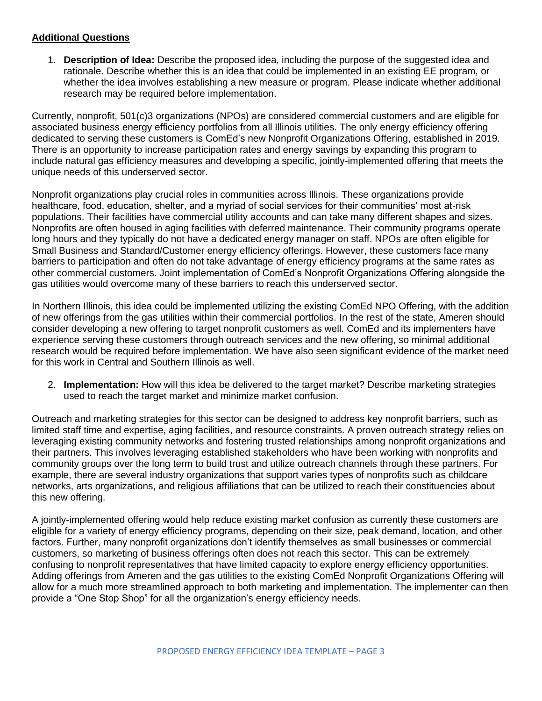#### **Additional Questions**

1. **Description of Idea:** Describe the proposed idea, including the purpose of the suggested idea and rationale. Describe whether this is an idea that could be implemented in an existing EE program, or whether the idea involves establishing a new measure or program. Please indicate whether additional research may be required before implementation.

Currently, nonprofit, 501(c)3 organizations (NPOs) are considered commercial customers and are eligible for associated business energy efficiency portfolios from all Illinois utilities. The only energy efficiency offering dedicated to serving these customers is ComEd's new Nonprofit Organizations Offering, established in 2019. There is an opportunity to increase participation rates and energy savings by expanding this program to include natural gas efficiency measures and developing a specific, jointly-implemented offering that meets the unique needs of this underserved sector.

Nonprofit organizations play crucial roles in communities across Illinois. These organizations provide healthcare, food, education, shelter, and a myriad of social services for their communities' most at-risk populations. Their facilities have commercial utility accounts and can take many different shapes and sizes. Nonprofits are often housed in aging facilities with deferred maintenance. Their community programs operate long hours and they typically do not have a dedicated energy manager on staff. NPOs are often eligible for Small Business and Standard/Customer energy efficiency offerings. However, these customers face many barriers to participation and often do not take advantage of energy efficiency programs at the same rates as other commercial customers. Joint implementation of ComEd's Nonprofit Organizations Offering alongside the gas utilities would overcome many of these barriers to reach this underserved sector.

In Northern Illinois, this idea could be implemented utilizing the existing ComEd NPO Offering, with the addition of new offerings from the gas utilities within their commercial portfolios. In the rest of the state, Ameren should consider developing a new offering to target nonprofit customers as well. ComEd and its implementers have experience serving these customers through outreach services and the new offering, so minimal additional research would be required before implementation. We have also seen significant evidence of the market need for this work in Central and Southern Illinois as well.

2. **Implementation:** How will this idea be delivered to the target market? Describe marketing strategies used to reach the target market and minimize market confusion.

Outreach and marketing strategies for this sector can be designed to address key nonprofit barriers, such as limited staff time and expertise, aging facilities, and resource constraints. A proven outreach strategy relies on leveraging existing community networks and fostering trusted relationships among nonprofit organizations and their partners. This involves leveraging established stakeholders who have been working with nonprofits and community groups over the long term to build trust and utilize outreach channels through these partners. For example, there are several industry organizations that support varies types of nonprofits such as childcare networks, arts organizations, and religious affiliations that can be utilized to reach their constituencies about this new offering.

A jointly-implemented offering would help reduce existing market confusion as currently these customers are eligible for a variety of energy efficiency programs, depending on their size, peak demand, location, and other factors. Further, many nonprofit organizations don't identify themselves as small businesses or commercial customers, so marketing of business offerings often does not reach this sector. This can be extremely confusing to nonprofit representatives that have limited capacity to explore energy efficiency opportunities. Adding offerings from Ameren and the gas utilities to the existing ComEd Nonprofit Organizations Offering will allow for a much more streamlined approach to both marketing and implementation. The implementer can then provide a "One Stop Shop" for all the organization's energy efficiency needs.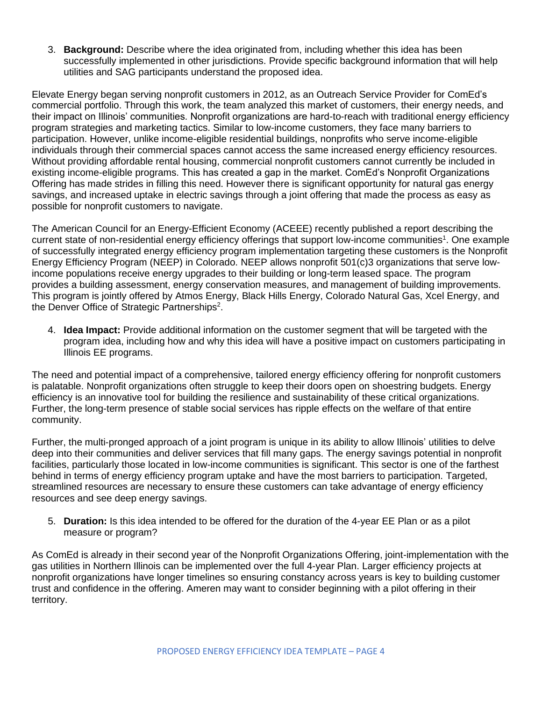3. **Background:** Describe where the idea originated from, including whether this idea has been successfully implemented in other jurisdictions. Provide specific background information that will help utilities and SAG participants understand the proposed idea.

Elevate Energy began serving nonprofit customers in 2012, as an Outreach Service Provider for ComEd's commercial portfolio. Through this work, the team analyzed this market of customers, their energy needs, and their impact on Illinois' communities. Nonprofit organizations are hard-to-reach with traditional energy efficiency program strategies and marketing tactics. Similar to low-income customers, they face many barriers to participation. However, unlike income-eligible residential buildings, nonprofits who serve income-eligible individuals through their commercial spaces cannot access the same increased energy efficiency resources. Without providing affordable rental housing, commercial nonprofit customers cannot currently be included in existing income-eligible programs. This has created a gap in the market. ComEd's Nonprofit Organizations Offering has made strides in filling this need. However there is significant opportunity for natural gas energy savings, and increased uptake in electric savings through a joint offering that made the process as easy as possible for nonprofit customers to navigate.

The American Council for an Energy-Efficient Economy (ACEEE) recently published a report describing the current state of non-residential energy efficiency offerings that support low-income communities<sup>1</sup>. One example of successfully integrated energy efficiency program implementation targeting these customers is the Nonprofit Energy Efficiency Program (NEEP) in Colorado. NEEP allows nonprofit 501(c)3 organizations that serve lowincome populations receive energy upgrades to their building or long-term leased space. The program provides a building assessment, energy conservation measures, and management of building improvements. This program is jointly offered by Atmos Energy, Black Hills Energy, Colorado Natural Gas, Xcel Energy, and the Denver Office of Strategic Partnerships<sup>2</sup>.

4. **Idea Impact:** Provide additional information on the customer segment that will be targeted with the program idea, including how and why this idea will have a positive impact on customers participating in Illinois EE programs.

The need and potential impact of a comprehensive, tailored energy efficiency offering for nonprofit customers is palatable. Nonprofit organizations often struggle to keep their doors open on shoestring budgets. Energy efficiency is an innovative tool for building the resilience and sustainability of these critical organizations. Further, the long-term presence of stable social services has ripple effects on the welfare of that entire community.

Further, the multi-pronged approach of a joint program is unique in its ability to allow Illinois' utilities to delve deep into their communities and deliver services that fill many gaps. The energy savings potential in nonprofit facilities, particularly those located in low-income communities is significant. This sector is one of the farthest behind in terms of energy efficiency program uptake and have the most barriers to participation. Targeted, streamlined resources are necessary to ensure these customers can take advantage of energy efficiency resources and see deep energy savings.

5. **Duration:** Is this idea intended to be offered for the duration of the 4-year EE Plan or as a pilot measure or program?

As ComEd is already in their second year of the Nonprofit Organizations Offering, joint-implementation with the gas utilities in Northern Illinois can be implemented over the full 4-year Plan. Larger efficiency projects at nonprofit organizations have longer timelines so ensuring constancy across years is key to building customer trust and confidence in the offering. Ameren may want to consider beginning with a pilot offering in their territory.